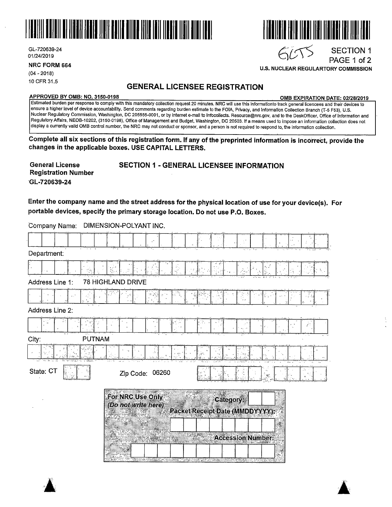

GL-720639-24 01/24/2019

**NRC FORM 664** 

 $(04 - 2018)$ 10 CFR 31.5

### **GENERAL LICENSEE REGISTRATION**

**APPROVED BY 0MB: NO. 3150-0198 0MB EXPIRATION DATE: 02/28/2019** 

SECTION 1 PAGE 1 of 2

111 | 1111 | 1111 | 1111111<br>111 | 1111 | 1111 | 1111

**U.S. NUCLEAR REGULARTORY COMMISSION** 

 $6055$ 

Estimated burden per response to comply with this mandatory collection request 20 minutes. NRC will use this informationto track general licencees and their devices to ensure a higher level of device accountability. Send comments regarding burden estimate to the FOIA, Privacy, and Information Collection Branch (T-5 F53}, U.S. Nuclear Regulatory Commission, Washington, DC 205555-0001, or by internet e-mail to lnfocollects. Resource@nrc.gov, and to the DeskOfficer, Office of Information and Regµlatory Affairs, NEOB-10202, {3150-0198), Office of Management and Budget, Washington, DC 20503. If a means used to impose an information collection does not display a currently valid 0MB control number, the NRC may not conduct or sponsor, and a person is not required to respond to, the information collection.

**Complete all six sections of this registration form. If any of the preprinted information is incorrect, provide the changes in the applicable boxes. USE CAPITAL LETTERS.** 

| <b>General License</b>     | <b>SECTION 1 - GENERAL LICENSEE INFORMATION</b> |
|----------------------------|-------------------------------------------------|
| <b>Registration Number</b> |                                                 |
| GL-720639-24               |                                                 |

**Enter the company name and the street address for the physical location of use for your device(s). For portable devices, specify the primary storage location. Do not use P.O. Boxes.** 

Company Name: DIMENSION-POLYANT INC. Department: J·· I I I. I-'· ·.J· · I ~:-.·1 -J · I ; -J -.I-. I'.. l ·,<I\_. ;l I r·.-J.~\_ -. I .. ·1. ·J .·J:: · :} Address Line 1: 78 HIGHLAND DRIVE Address Line 2: City: PUTNAM State: CT Zip Code: 06260 For NRC Use Only Category: (Do not write here) **Packet Receipt Date (MMDDYYYY):** ł **Accession Number:** 

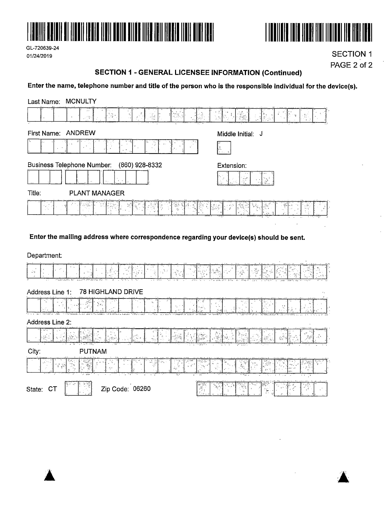





**SECTION 1** PAGE 2 of 2

#### **SECTION 1 - GENERAL LICENSEE INFORMATION (Continued)**

### Enter the name, telephone number and title of the person who is the responsible individual for the device(s).

| <b>MCNULTY</b><br>Last Name:      |                                                                                         |                                     |
|-----------------------------------|-----------------------------------------------------------------------------------------|-------------------------------------|
|                                   | W<br>$\frac{1}{2}$<br>⊱ *′€                                                             | $\frac{1}{\sqrt{2}}$<br>æ.<br>∌rive |
| <b>ANDREW</b><br>First Name:      |                                                                                         | Middle Initial: J                   |
|                                   |                                                                                         | ia<br>Provinci                      |
| <b>Business Telephone Number:</b> | (860) 928-8332<br>$\sim$<br>$\cdot$                                                     | Extension:                          |
| Title:                            | <b>PLANT MANAGER</b>                                                                    |                                     |
|                                   |                                                                                         | ₩.                                  |
|                                   | Enter the mailing address where correspondence regarding your device(s) should be sent. |                                     |
| Department:<br>.                  |                                                                                         | $\epsilon$                          |

|  |     |      |  |  |  |  |  |  |  | a lateral company of a service to a |       |  | <b>CALL AND</b> |  |             |  |  |  |  |  |  |  |  | 11271718 |  |  |
|--|-----|------|--|--|--|--|--|--|--|-------------------------------------|-------|--|-----------------|--|-------------|--|--|--|--|--|--|--|--|----------|--|--|
|  | . . | マイハー |  |  |  |  |  |  |  |                                     | こん かい |  |                 |  | $2.32 - 1.$ |  |  |  |  |  |  |  |  |          |  |  |

#### Address Line 1: 78 HIGHLAND DRIVE

|         |                | . |  | <b>JAL 94 9990-22</b>            |                   |  |  |
|---------|----------------|---|--|----------------------------------|-------------------|--|--|
|         |                |   |  |                                  |                   |  |  |
|         |                |   |  |                                  |                   |  |  |
|         |                |   |  |                                  |                   |  |  |
|         |                |   |  |                                  |                   |  |  |
| 1.1.1.1 |                |   |  |                                  |                   |  |  |
|         | <b>1.85 PM</b> |   |  | Concertain and the concertain of | <b>STATISTICS</b> |  |  |

Address Line 2:

| $1$ weive the $L$ .                           |                                                               |                                                                                                                                 |                                                         |
|-----------------------------------------------|---------------------------------------------------------------|---------------------------------------------------------------------------------------------------------------------------------|---------------------------------------------------------|
| 1701101714174414<br><b>AND AN</b><br>1950 L.L | .<br>$-1.11$<br><b>Banks</b> Av<br><b>CONTRACTOR</b>          | a considerazione di considerati<br>the company of the company of the<br>.<br><b>ALA</b><br>.<br>---------------<br>$-759211777$ | $1.99444 = 1.397$<br><b>COMPANY</b><br>Lev. 11<br>- 199 |
|                                               | $\sqrt{N}$ and $\sqrt{N}$ , $\sqrt{N}$ , $\sqrt{N}$<br>$\sim$ | THE PERSON<br>n Silver<br>$-20.7 -$<br>and a seattle                                                                            | - 85                                                    |

| $-0.011441$<br>3 H<br>10/10/18<br>$\sim$<br>-2.9<br><b>ALC: NAME</b><br><b>AND</b> | <b>Select</b><br>ن ن د ب<br>indi.<br>$\sim$<br>$x \rightarrow x$<br>anticipate and the fact<br><b>Table 1</b><br>24.4 | . <b>. .</b> .<br>10 L PUB<br>and the property of<br>- <del>.</del><br>$-4.6\frac{m}{m}$                    | TRANS ARE<br><b>A 63.00</b><br>المعادلات والمناوي<br>and the<br>the probabilities for the care<br><b>STATISTICS</b><br><b>START OF</b><br>- 14 |
|------------------------------------------------------------------------------------|-----------------------------------------------------------------------------------------------------------------------|-------------------------------------------------------------------------------------------------------------|------------------------------------------------------------------------------------------------------------------------------------------------|
| $\sim$ $\sim$<br>ч.,<br><b>Later Street and</b><br>$Z$ ip (<br>$\sim$              | 06260<br>Code:                                                                                                        | the control controls of<br><b>Contract College</b><br>≺ಪಕ್ಷಗಳಿ<br>والله الد<br><b>Sec 50</b><br>تعظمون<br>. | ÷                                                                                                                                              |



 $\mathcal{L}_{\mathcal{A}}$ 

 $\bar{z}$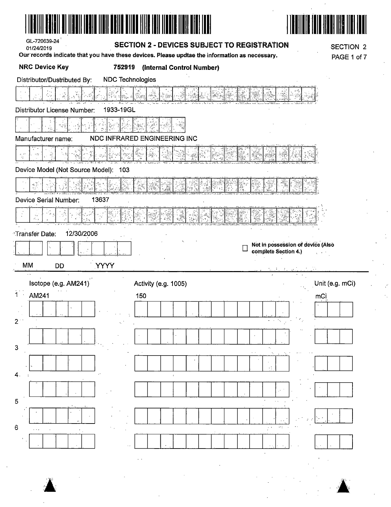| GL-720639-24<br>01/24/2019                | <b>SECTION 2 - DEVICES SUBJECT TO REGISTRATION</b><br>Our records indicate that you have these devices. Please updtae the information as necessary. | <b>SECTION 2</b><br>PAGE 1 of 7                           |
|-------------------------------------------|-----------------------------------------------------------------------------------------------------------------------------------------------------|-----------------------------------------------------------|
| <b>NRC Device Key</b><br>752919           | (Internal Control Number)                                                                                                                           |                                                           |
| Distributor/Dustributed By:               | <b>NDC Technologies</b>                                                                                                                             |                                                           |
|                                           |                                                                                                                                                     |                                                           |
| 1933-19GL<br>Distributor License Number:  |                                                                                                                                                     |                                                           |
|                                           |                                                                                                                                                     |                                                           |
| Manufacturer name:                        | <b>NDC INFRARED ENGINEERING INC</b>                                                                                                                 |                                                           |
| $\phi = \theta^{\prime}$                  |                                                                                                                                                     |                                                           |
| Device Model (Not Source Model):<br>103   |                                                                                                                                                     |                                                           |
|                                           |                                                                                                                                                     |                                                           |
| Device Serial Number:<br>13637            |                                                                                                                                                     |                                                           |
|                                           |                                                                                                                                                     |                                                           |
| 12/30/2006<br><sup>*</sup> Transfer Date: |                                                                                                                                                     |                                                           |
|                                           |                                                                                                                                                     | Not in possession of device (Also<br>complete Section 4.) |
| YYYY<br>МM<br><b>DD</b>                   |                                                                                                                                                     |                                                           |
| Isotope (e.g. AM241)                      | Activity (e.g. 1005)                                                                                                                                | Unit (e.g. mCi)                                           |
| AM241                                     | 150                                                                                                                                                 | mCi                                                       |
|                                           |                                                                                                                                                     |                                                           |

|                |  |             | $\cdot$ |               |                          |  |  |  |  |   |    |                      |              |  |
|----------------|--|-------------|---------|---------------|--------------------------|--|--|--|--|---|----|----------------------|--------------|--|
| 2              |  |             |         |               |                          |  |  |  |  |   |    |                      |              |  |
|                |  |             |         |               | $\overline{\phantom{a}}$ |  |  |  |  | ٠ |    |                      |              |  |
| 3              |  |             |         |               |                          |  |  |  |  |   | ×, |                      |              |  |
|                |  |             |         |               |                          |  |  |  |  |   |    |                      |              |  |
| 4              |  |             |         |               |                          |  |  |  |  |   |    |                      |              |  |
|                |  |             |         |               |                          |  |  |  |  |   |    |                      | $\mathbf{r}$ |  |
| $\overline{5}$ |  |             |         |               |                          |  |  |  |  |   |    |                      |              |  |
|                |  | $\bullet$ 2 |         |               |                          |  |  |  |  |   |    | $\ddot{\phantom{1}}$ |              |  |
| 6              |  |             |         |               |                          |  |  |  |  |   | .  | ω                    |              |  |
|                |  |             |         | $\sim$ $\sim$ |                          |  |  |  |  |   |    |                      |              |  |
|                |  |             |         |               |                          |  |  |  |  |   |    |                      |              |  |

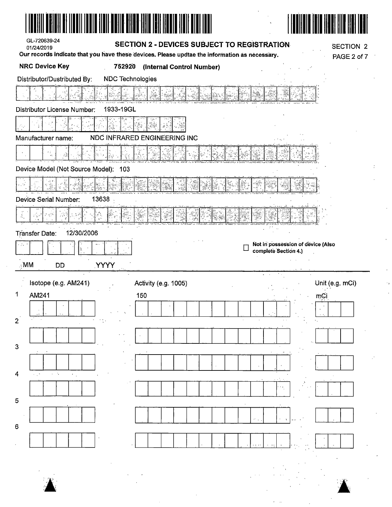| GL-720639-24<br>01/24/2019<br>Our records indicate that you have these devices. Please updtae the information as necessary. |                         |     | SECTION 2 - DEVICES SUBJECT TO REGISTRATION |  |                                                           | <b>SECTION 2</b> |
|-----------------------------------------------------------------------------------------------------------------------------|-------------------------|-----|---------------------------------------------|--|-----------------------------------------------------------|------------------|
| <b>NRC Device Key</b>                                                                                                       | 752920                  |     | (Internal Control Number)                   |  |                                                           | PAGE 2 of 7      |
| Distributor/Dustributed By:                                                                                                 | <b>NDC Technologies</b> |     |                                             |  |                                                           |                  |
|                                                                                                                             |                         |     |                                             |  |                                                           |                  |
| Distributor License Number:                                                                                                 | 1933-19GL               |     |                                             |  |                                                           |                  |
|                                                                                                                             |                         |     |                                             |  |                                                           |                  |
| Manufacturer name:                                                                                                          |                         |     | NDC INFRARED ENGINEERING INC                |  |                                                           |                  |
|                                                                                                                             |                         |     |                                             |  |                                                           |                  |
| Device Model (Not Source Model): 103                                                                                        |                         |     |                                             |  |                                                           |                  |
|                                                                                                                             |                         |     |                                             |  |                                                           |                  |
| Device Serial Number:                                                                                                       | 13638                   |     |                                             |  |                                                           |                  |
| $\frac{1}{2}$                                                                                                               |                         |     |                                             |  |                                                           |                  |
| 12/30/2006<br><b>Transfer Date:</b>                                                                                         |                         |     |                                             |  |                                                           |                  |
| r de c                                                                                                                      |                         |     |                                             |  | Not in possession of device (Also<br>complete Section 4.) |                  |
| $\mathbb{M}$ .<br>DD                                                                                                        | <b>YYYY</b>             |     |                                             |  |                                                           |                  |
| Isotope (e.g. AM241)                                                                                                        |                         |     | Activity (e.g. 1005)                        |  |                                                           | Unit (e.g. mCi)  |
| AM241                                                                                                                       |                         | 150 |                                             |  |                                                           | mCi              |
|                                                                                                                             |                         |     |                                             |  |                                                           |                  |
| $\overline{2}$                                                                                                              |                         |     |                                             |  |                                                           |                  |
|                                                                                                                             |                         |     |                                             |  |                                                           |                  |
| 3                                                                                                                           |                         |     |                                             |  |                                                           |                  |
|                                                                                                                             |                         |     |                                             |  |                                                           |                  |
|                                                                                                                             |                         |     |                                             |  |                                                           |                  |
| 4                                                                                                                           |                         |     |                                             |  |                                                           |                  |
|                                                                                                                             |                         |     |                                             |  |                                                           |                  |
| 5                                                                                                                           |                         |     |                                             |  |                                                           |                  |
| 6                                                                                                                           |                         |     |                                             |  |                                                           |                  |
|                                                                                                                             |                         |     |                                             |  |                                                           |                  |

 $\label{eq:2.1} \frac{1}{\sqrt{2}}\int_{0}^{\infty}\frac{1}{\sqrt{2\pi}}\left(\frac{1}{\sqrt{2\pi}}\right)^{2}d\mu\,d\mu\,.$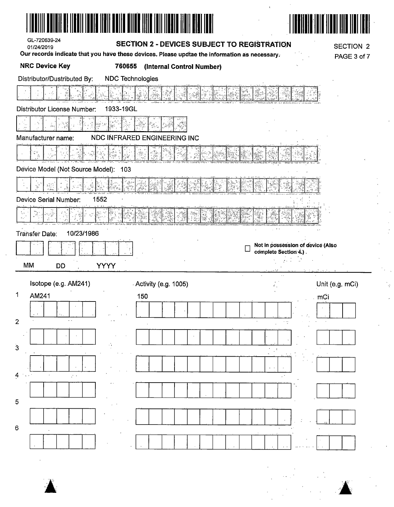| GL-720639-24<br>01/24/2019                             | SECTION 2 - DEVICES SUBJECT TO REGISTRATION                                                                                | <b>SECTION 2</b>                                           |  |
|--------------------------------------------------------|----------------------------------------------------------------------------------------------------------------------------|------------------------------------------------------------|--|
| <b>NRC Device Key</b><br>760655                        | Our records indicate that you have these devices. Please updtae the information as necessary.<br>(Internal Control Number) | PAGE 3 of 7                                                |  |
| <b>NDC Technologies</b><br>Distributor/Dustributed By: |                                                                                                                            |                                                            |  |
|                                                        |                                                                                                                            |                                                            |  |
| 1933-19GL<br><b>Distributor License Number:</b>        |                                                                                                                            |                                                            |  |
|                                                        |                                                                                                                            |                                                            |  |
| Manufacturer name:                                     | NDC INFRARED ENGINEERING INC                                                                                               |                                                            |  |
|                                                        |                                                                                                                            |                                                            |  |
| Device Model (Not Source Model): 103                   |                                                                                                                            |                                                            |  |
|                                                        |                                                                                                                            |                                                            |  |
| Device Serial Number:<br>1552                          |                                                                                                                            |                                                            |  |
|                                                        |                                                                                                                            |                                                            |  |
| 10/23/1986<br>Transfer Date:                           |                                                                                                                            |                                                            |  |
|                                                        |                                                                                                                            | Not in possession of device (Also<br>complete Section 4.). |  |
| MM<br><b>YYYY</b><br><b>DD</b>                         |                                                                                                                            | 42 D. S.                                                   |  |
| Isotope (e.g. AM241)                                   | Activity (e.g. 1005)                                                                                                       | Unit (e.g. mCi)                                            |  |
| 1<br>AM241                                             | 150                                                                                                                        | $\Box$ mGi                                                 |  |
|                                                        |                                                                                                                            |                                                            |  |
| $\overline{2}$                                         |                                                                                                                            |                                                            |  |
|                                                        |                                                                                                                            |                                                            |  |
| 3                                                      |                                                                                                                            |                                                            |  |
|                                                        |                                                                                                                            |                                                            |  |
|                                                        |                                                                                                                            |                                                            |  |
|                                                        |                                                                                                                            |                                                            |  |
| 5                                                      |                                                                                                                            |                                                            |  |
|                                                        |                                                                                                                            |                                                            |  |
| 6                                                      |                                                                                                                            |                                                            |  |
|                                                        |                                                                                                                            |                                                            |  |

 $\label{eq:1} \mathbf{R}^{(1)} = \mathbf{R}^{(1)} \times \mathbf{R}^{(2)}$ 



 $\frac{1}{2}$  $\frac{1}{\epsilon}$ 

 $\hat{\mathcal{L}}$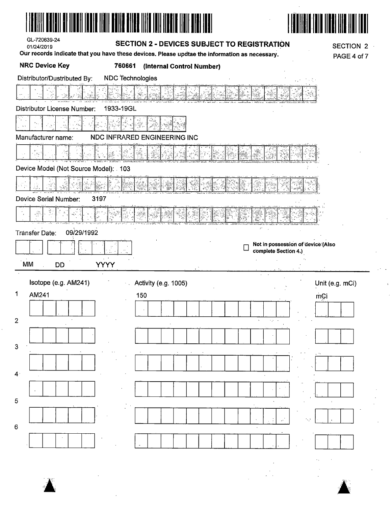| <b>NRC Device Key</b><br>760661<br>(Internal Control Number)<br><b>NDC</b> Technologies<br>Distributor/Dustributed By:<br>Distributor License Number:<br>1933-19GL<br>NDC INFRARED ENGINEERING INC<br>Manufacturer name:<br>Device Model (Not Source Model): 103 |
|------------------------------------------------------------------------------------------------------------------------------------------------------------------------------------------------------------------------------------------------------------------|
|                                                                                                                                                                                                                                                                  |
|                                                                                                                                                                                                                                                                  |
|                                                                                                                                                                                                                                                                  |
|                                                                                                                                                                                                                                                                  |
|                                                                                                                                                                                                                                                                  |
|                                                                                                                                                                                                                                                                  |
|                                                                                                                                                                                                                                                                  |
|                                                                                                                                                                                                                                                                  |
|                                                                                                                                                                                                                                                                  |
| Device Serial Number:<br>3197                                                                                                                                                                                                                                    |
| $\epsilon_{\rm{max}}^{\rm{obs}}$                                                                                                                                                                                                                                 |
| 09/29/1992<br>Transfer Date:                                                                                                                                                                                                                                     |
| Not in possession of device (Also<br>complete Section 4.)                                                                                                                                                                                                        |
| MM<br><b>YYYY</b><br>DĎ                                                                                                                                                                                                                                          |
| Isotope (e.g. AM241)<br>Activity (e.g. 1005)<br>Unit (e.g. mCi)                                                                                                                                                                                                  |
| 1<br>AM241<br>150<br>mCi                                                                                                                                                                                                                                         |
|                                                                                                                                                                                                                                                                  |
| $\mathbf{2}$<br>$\epsilon_{\rm eff}$ , $\epsilon_{\rm e}$<br>$\mathbf{v}$                                                                                                                                                                                        |
|                                                                                                                                                                                                                                                                  |
| 3                                                                                                                                                                                                                                                                |
|                                                                                                                                                                                                                                                                  |
| 4 <sup>1</sup>                                                                                                                                                                                                                                                   |
|                                                                                                                                                                                                                                                                  |
| 5                                                                                                                                                                                                                                                                |
| $\,6\,$                                                                                                                                                                                                                                                          |
|                                                                                                                                                                                                                                                                  |



 $\frac{1}{\sqrt{2}}$ 

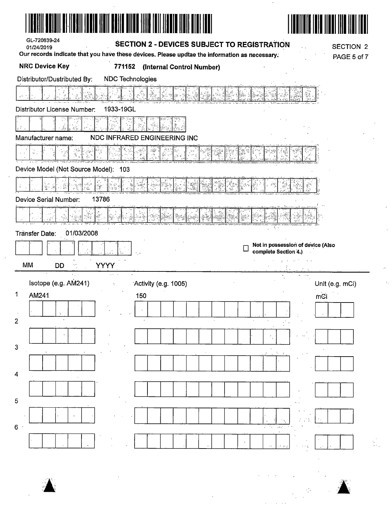| <u>TIIN PERINTEN YENI DENGAN TERLETIK DI BIRI DI BIRI DI BIRI DI BIRI DI BIRI DI BIRI DI BIRI DI BIRI DI BIRI DI</u><br>GL-720639-24<br><b>SECTION 2 - DEVICES SUBJECT TO REGISTRATION</b><br>01/24/2019<br>Our records indicate that you have these devices. Please updtae the information as necessary. | <b>SECTION 2</b><br>PAGE 5 of 7 |
|-----------------------------------------------------------------------------------------------------------------------------------------------------------------------------------------------------------------------------------------------------------------------------------------------------------|---------------------------------|
| <b>NRC Device Key</b><br>771152<br>(Internal Control Number)                                                                                                                                                                                                                                              |                                 |
| Distributor/Dustributed By:<br><b>NDC Technologies</b>                                                                                                                                                                                                                                                    |                                 |
|                                                                                                                                                                                                                                                                                                           |                                 |
| 1933-19GL<br>Distributor License Number:                                                                                                                                                                                                                                                                  |                                 |
|                                                                                                                                                                                                                                                                                                           |                                 |
| NDC INFRARED ENGINEERING INC<br>Manufacturer name:                                                                                                                                                                                                                                                        |                                 |
|                                                                                                                                                                                                                                                                                                           |                                 |
| Device Model (Not Source Model): 103                                                                                                                                                                                                                                                                      |                                 |
|                                                                                                                                                                                                                                                                                                           |                                 |
| 13786<br>Device Serial Number:                                                                                                                                                                                                                                                                            |                                 |
| Ķ.                                                                                                                                                                                                                                                                                                        |                                 |
| 01/03/2008<br>Tränsfer Date:                                                                                                                                                                                                                                                                              |                                 |
| Not in possession of device (Also<br>complete Section 4.)                                                                                                                                                                                                                                                 |                                 |
| الترابيب الفرادي<br>$\sim$ $\sim$<br>MM<br><b>YYYY</b><br>DD                                                                                                                                                                                                                                              |                                 |
|                                                                                                                                                                                                                                                                                                           |                                 |
| Isotope (e.g. AM241)<br>Activity (e.g. 1005)<br>÷                                                                                                                                                                                                                                                         | Unit (e.g. mCi)                 |
| $\overline{\text{mC}}$ i<br>1<br>AM241<br>150                                                                                                                                                                                                                                                             |                                 |
|                                                                                                                                                                                                                                                                                                           |                                 |
| $\overline{2}$                                                                                                                                                                                                                                                                                            |                                 |
| 3                                                                                                                                                                                                                                                                                                         |                                 |
|                                                                                                                                                                                                                                                                                                           |                                 |
| $\overline{4}$                                                                                                                                                                                                                                                                                            |                                 |
|                                                                                                                                                                                                                                                                                                           |                                 |
| 5                                                                                                                                                                                                                                                                                                         |                                 |
| 6 <sup>o</sup><br>$\sim 10^{-4}$                                                                                                                                                                                                                                                                          |                                 |
|                                                                                                                                                                                                                                                                                                           |                                 |



 $\frac{1}{2}$ 

 $\hat{\lambda}_\alpha$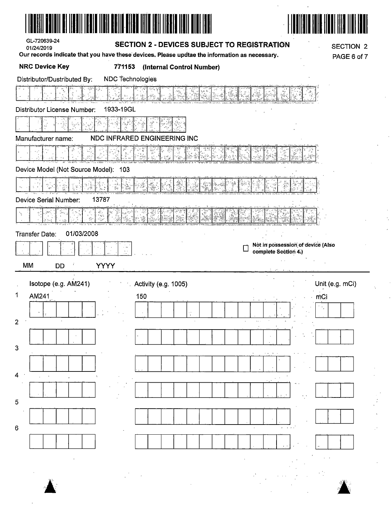



t,

| GL-720639-24 |  |
|--------------|--|
| 01/24/2019   |  |

#### **SECTION 2 - DEVICES SUBJECT TO REGISTRATION**

Our records indicate that you have these devices. Please updtae the information as necessary.

**SECTION 2** PAGE 6 of 7

| NDC Technologies<br>Distributor/Dustributed By:<br>iliya <sup>6</sup><br>1933-19GL<br>NDC INFRARED ENGINEERING INC<br>ಇನ್ '<br>Device Model (Not Source Model): 103<br>Ϋ́<br>13787<br>ŵ,<br>01/03/2008<br><b>Transfer Date:</b><br>Not in possession of device (Also<br>complete Section 4.)<br>MM<br><b>YYYY</b><br>DD<br>Isotope (e.g. AM241)<br>Unit (e.g. mCi)<br>Activity (e.g. 1005)<br>AM241<br>150<br>mCi | <b>NRC Device Key</b>       | 771153<br>(Internal Control Number) |  |
|-------------------------------------------------------------------------------------------------------------------------------------------------------------------------------------------------------------------------------------------------------------------------------------------------------------------------------------------------------------------------------------------------------------------|-----------------------------|-------------------------------------|--|
|                                                                                                                                                                                                                                                                                                                                                                                                                   |                             |                                     |  |
|                                                                                                                                                                                                                                                                                                                                                                                                                   |                             |                                     |  |
|                                                                                                                                                                                                                                                                                                                                                                                                                   | Distributor License Number: |                                     |  |
|                                                                                                                                                                                                                                                                                                                                                                                                                   |                             |                                     |  |
|                                                                                                                                                                                                                                                                                                                                                                                                                   | Manufacturer name:          |                                     |  |
|                                                                                                                                                                                                                                                                                                                                                                                                                   |                             |                                     |  |
|                                                                                                                                                                                                                                                                                                                                                                                                                   |                             |                                     |  |
|                                                                                                                                                                                                                                                                                                                                                                                                                   |                             |                                     |  |
|                                                                                                                                                                                                                                                                                                                                                                                                                   | Device Serial Number:       |                                     |  |
|                                                                                                                                                                                                                                                                                                                                                                                                                   |                             |                                     |  |
|                                                                                                                                                                                                                                                                                                                                                                                                                   |                             |                                     |  |
|                                                                                                                                                                                                                                                                                                                                                                                                                   |                             |                                     |  |
|                                                                                                                                                                                                                                                                                                                                                                                                                   |                             |                                     |  |
|                                                                                                                                                                                                                                                                                                                                                                                                                   |                             |                                     |  |
|                                                                                                                                                                                                                                                                                                                                                                                                                   |                             |                                     |  |
|                                                                                                                                                                                                                                                                                                                                                                                                                   | 1                           |                                     |  |
|                                                                                                                                                                                                                                                                                                                                                                                                                   |                             |                                     |  |
|                                                                                                                                                                                                                                                                                                                                                                                                                   | 2                           |                                     |  |
|                                                                                                                                                                                                                                                                                                                                                                                                                   |                             |                                     |  |
|                                                                                                                                                                                                                                                                                                                                                                                                                   | 3                           |                                     |  |
|                                                                                                                                                                                                                                                                                                                                                                                                                   |                             |                                     |  |
|                                                                                                                                                                                                                                                                                                                                                                                                                   | 4                           |                                     |  |
|                                                                                                                                                                                                                                                                                                                                                                                                                   |                             |                                     |  |
|                                                                                                                                                                                                                                                                                                                                                                                                                   | 5                           |                                     |  |
|                                                                                                                                                                                                                                                                                                                                                                                                                   |                             |                                     |  |
|                                                                                                                                                                                                                                                                                                                                                                                                                   | 6                           |                                     |  |
|                                                                                                                                                                                                                                                                                                                                                                                                                   |                             |                                     |  |
|                                                                                                                                                                                                                                                                                                                                                                                                                   |                             |                                     |  |
|                                                                                                                                                                                                                                                                                                                                                                                                                   |                             |                                     |  |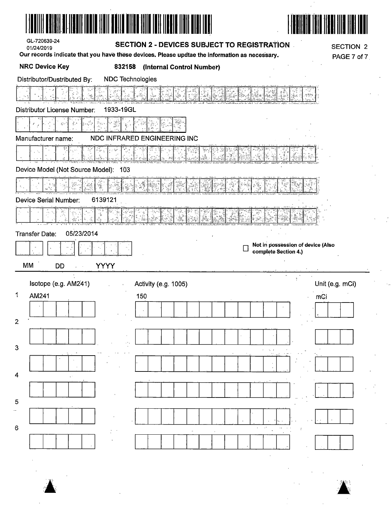| GL-720639-24<br><b>SECTION 2 - DEVICES SUBJECT TO REGISTRATION</b><br>01/24/2019              | <b>SECTION 2</b>                  |
|-----------------------------------------------------------------------------------------------|-----------------------------------|
| Our records indicate that you have these devices. Please updtae the information as necessary. | PAGE 7 of 7                       |
| <b>NRC Device Key</b><br>832158<br>(Internal Control Number)                                  |                                   |
| Distributor/Dustributed By:<br><b>NDC Technologies</b>                                        |                                   |
|                                                                                               |                                   |
| 1933-19GL<br>Distributor License Number:                                                      |                                   |
|                                                                                               |                                   |
| NDC INFRARED ENGINEERING INC<br>Manufacturer name:                                            |                                   |
|                                                                                               |                                   |
| Device Model (Not Source Model):<br>103                                                       |                                   |
|                                                                                               |                                   |
| <b>Device Serial Number:</b><br>6139121                                                       |                                   |
|                                                                                               |                                   |
| 05/23/2014<br><b>Transfer Date:</b>                                                           |                                   |
|                                                                                               | Not in possession of device (Also |
|                                                                                               | complete Section 4.)              |
| MM<br><b>YYYY</b><br><b>DD</b><br>$\sim$                                                      |                                   |
| Isotope (e.g. AM241)<br>Activity (e.g. 1005)                                                  | Unit (e.g. mCi)                   |
| AM241<br>150                                                                                  | mCi                               |
|                                                                                               |                                   |
| 2                                                                                             |                                   |
|                                                                                               |                                   |
| 3                                                                                             |                                   |
|                                                                                               |                                   |
| 4                                                                                             |                                   |
|                                                                                               |                                   |
| 5                                                                                             |                                   |
|                                                                                               |                                   |
| 6                                                                                             |                                   |
|                                                                                               |                                   |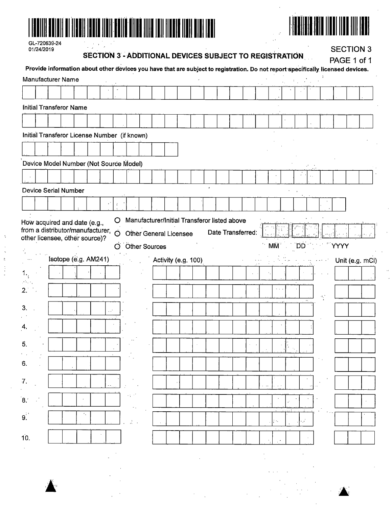

|                 | 01/24/2019 | GL-720639-24                                                                                                                    |                      |  |          | <b>SECTION 3 - ADDITIONAL DEVICES SUBJECT TO REGISTRATION</b> |                      |                     |  |  |  |           |    |                   | PAGE 1 of 1 | <b>SECTION 3</b> |
|-----------------|------------|---------------------------------------------------------------------------------------------------------------------------------|----------------------|--|----------|---------------------------------------------------------------|----------------------|---------------------|--|--|--|-----------|----|-------------------|-------------|------------------|
|                 |            | Provide information about other devices you have that are subject to registration. Do not report specifically licensed devices. |                      |  |          |                                                               |                      |                     |  |  |  |           |    |                   |             |                  |
|                 |            | Manufacturer Name                                                                                                               |                      |  |          |                                                               |                      |                     |  |  |  |           |    |                   |             |                  |
|                 |            |                                                                                                                                 |                      |  |          |                                                               |                      |                     |  |  |  |           |    |                   |             |                  |
|                 |            | Initial Transferor Name                                                                                                         |                      |  |          |                                                               |                      |                     |  |  |  |           |    |                   |             |                  |
|                 |            |                                                                                                                                 |                      |  |          |                                                               |                      |                     |  |  |  |           |    |                   |             |                  |
|                 |            | Initial Transferor License Number (if known)                                                                                    |                      |  |          |                                                               |                      |                     |  |  |  |           |    |                   |             |                  |
|                 |            |                                                                                                                                 |                      |  |          |                                                               |                      |                     |  |  |  |           |    |                   |             |                  |
|                 |            | Device Model Number (Not Source Model)                                                                                          |                      |  |          |                                                               |                      |                     |  |  |  |           |    |                   |             |                  |
|                 |            |                                                                                                                                 |                      |  |          |                                                               |                      |                     |  |  |  |           |    |                   |             |                  |
|                 |            | <b>Device Serial Number</b>                                                                                                     |                      |  |          |                                                               |                      |                     |  |  |  |           |    |                   |             |                  |
|                 |            |                                                                                                                                 |                      |  |          |                                                               |                      |                     |  |  |  |           |    |                   |             |                  |
|                 |            |                                                                                                                                 |                      |  |          |                                                               |                      |                     |  |  |  |           |    |                   |             |                  |
|                 |            |                                                                                                                                 | Isotope (e.g. AM241) |  | $\Omega$ |                                                               | <b>Other Sources</b> | Activity (e.g. 100) |  |  |  | <b>MM</b> | ΈD |                   | YYYY        | Unit (e.g. mCi)  |
|                 |            |                                                                                                                                 |                      |  |          |                                                               |                      |                     |  |  |  |           |    |                   |             |                  |
|                 |            |                                                                                                                                 |                      |  |          |                                                               |                      |                     |  |  |  |           |    |                   |             |                  |
|                 |            |                                                                                                                                 |                      |  |          |                                                               |                      |                     |  |  |  |           |    | $\alpha_{\rm{g}}$ |             |                  |
| 3.              |            |                                                                                                                                 |                      |  |          |                                                               |                      |                     |  |  |  |           |    |                   |             |                  |
| 4.              |            |                                                                                                                                 |                      |  |          |                                                               |                      |                     |  |  |  |           |    |                   |             |                  |
| 5.              |            |                                                                                                                                 |                      |  |          |                                                               |                      |                     |  |  |  |           |    |                   |             |                  |
|                 |            |                                                                                                                                 |                      |  |          |                                                               |                      |                     |  |  |  |           |    |                   |             |                  |
| 6.              |            |                                                                                                                                 |                      |  |          |                                                               |                      |                     |  |  |  |           |    |                   |             |                  |
|                 |            |                                                                                                                                 |                      |  |          |                                                               |                      |                     |  |  |  |           |    |                   |             |                  |
|                 |            |                                                                                                                                 |                      |  |          |                                                               |                      |                     |  |  |  |           |    |                   |             |                  |
|                 |            |                                                                                                                                 |                      |  |          |                                                               |                      |                     |  |  |  |           |    |                   |             |                  |
|                 |            |                                                                                                                                 |                      |  |          |                                                               |                      |                     |  |  |  |           |    |                   |             |                  |
| 7.<br>່8.<br>9. |            |                                                                                                                                 |                      |  |          |                                                               |                      |                     |  |  |  |           |    |                   |             |                  |
| 10.             |            |                                                                                                                                 |                      |  |          |                                                               |                      |                     |  |  |  |           |    |                   |             |                  |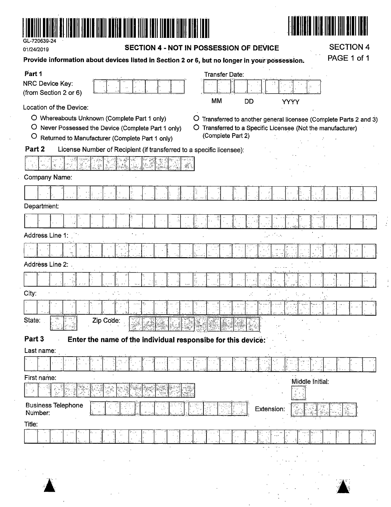

**,A-** ·&

SECTION 4

 $\frac{1}{2}$ 

 $\mathfrak i$ 

| 01/24/2019                               | SECTION 4                                                            |                                                                                               |             |  |
|------------------------------------------|----------------------------------------------------------------------|-----------------------------------------------------------------------------------------------|-------------|--|
|                                          |                                                                      | Provide information about devices listed in Section 2 or 6, but no longer in your possession. | PAGE 1 of 1 |  |
| Part 1                                   |                                                                      | Transfer Date:                                                                                |             |  |
| NRC Device Key:<br>(from Section 2 or 6) |                                                                      |                                                                                               |             |  |
| Location of the Device:                  |                                                                      | MM<br>DD<br>YYYY                                                                              |             |  |
|                                          | O Whereabouts Unknown (Complete Part 1 only)                         | Transferred to another general licensee (Complete Parts 2 and 3)<br>$\circ$                   |             |  |
|                                          | O Never Possessed the Device (Complete Part 1 only)                  | O Transferred to a Specific Licensee (Not the manufacturer)                                   |             |  |
| $\circ$                                  | Returned to Manufacturer (Complete Part 1 only)                      | (Complete Part 2)                                                                             |             |  |
| Part 2                                   | License Number of Recipient (if transferred to a specific licensee): |                                                                                               |             |  |
|                                          |                                                                      |                                                                                               |             |  |
| Company Name:                            |                                                                      |                                                                                               |             |  |
|                                          | Ϋ.                                                                   |                                                                                               |             |  |
| Department:                              |                                                                      |                                                                                               |             |  |
|                                          |                                                                      |                                                                                               |             |  |
| Address Line 1:                          |                                                                      |                                                                                               |             |  |
|                                          |                                                                      |                                                                                               |             |  |
| Address Line 2:                          |                                                                      |                                                                                               |             |  |
|                                          |                                                                      | I.<br>Is                                                                                      |             |  |
| City:                                    |                                                                      |                                                                                               |             |  |
|                                          |                                                                      |                                                                                               |             |  |
| State:                                   | Zip Code:                                                            |                                                                                               |             |  |
| Part 3                                   | Enter the name of the individual responsibe for this device:         |                                                                                               |             |  |
| Last name:                               |                                                                      |                                                                                               |             |  |
|                                          |                                                                      |                                                                                               |             |  |
| First name:                              |                                                                      | Middle Initial:                                                                               |             |  |
|                                          |                                                                      |                                                                                               |             |  |
| <b>Business Telephone</b><br>Number:     |                                                                      | Extension:                                                                                    |             |  |
| Title:                                   |                                                                      |                                                                                               |             |  |
|                                          |                                                                      |                                                                                               |             |  |
|                                          |                                                                      |                                                                                               |             |  |
|                                          |                                                                      |                                                                                               |             |  |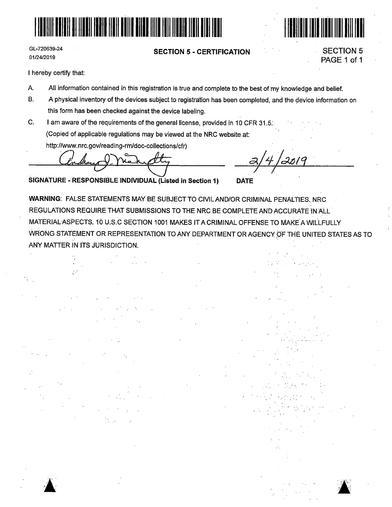



#### **SECTION 5** - **CERTIFICATION**



SECTION 5 PAGE 1 of 1

I hereby certify that:

A ' ,• '

- <sup>A</sup>All information contained in this registration is true and complete to the best of'my knowledge and belief.
- B. A physical inventory of the devices subject to registration has been completed, and the device information on this form has been checked against the device labeling.
- C. I am aware of the requirements of the general license, provided in 10 CFR 31.5. (Copied of applicable regulations may be viewed at the NRC website at: http://www.nrc.gov/reading-rm/doc-collections/cfr)

~ *Tl* 

**SIGNATURE** - **RESPONSiBLE INDIVIDUAL (Listed in Section 1) DATE** 

WARNING: FALSE STATEMENTS MAY BE SUBJECT TO CIVIL AND/OR CRIMINAL PENALTIES, NRC REGULATIONS REQUIRE THAT SUBMISSIONS TO THE NRC BE COMPLETE AND ACCURATE IN ALL MATERIAL ASPECTS. *1b* U.S.C SECTION 1001 MAKES IT A CRIMINAL OFFENSE TO MAKE A WILLFULLY WRONG STATEMENT OR REPRESENTATION TO ANY DEPARTMENT OR AGENCY OF THE UNITED STATES AS TO ANY MATTER IN ITS JURISDICTION.